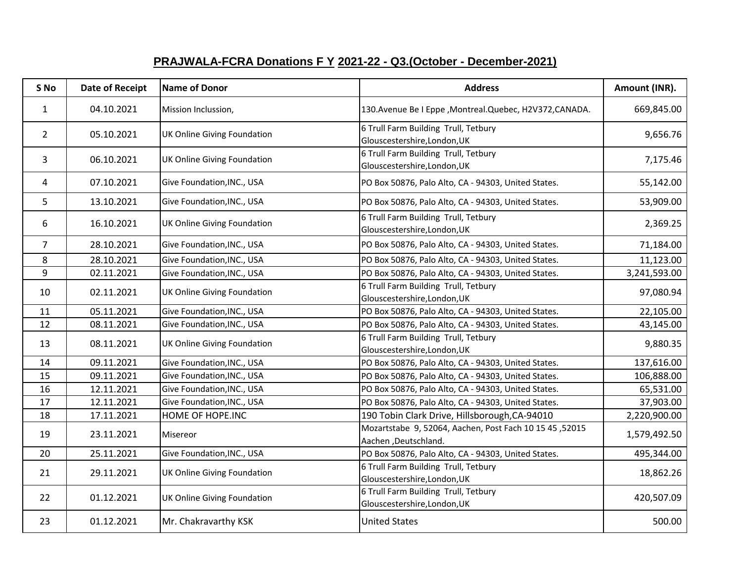## **PRAJWALA-FCRA Donations F Y 2021-22 - Q3.(October - December-2021)**

| S No           | <b>Date of Receipt</b> | Name of Donor                      | <b>Address</b>                                                                  | Amount (INR). |
|----------------|------------------------|------------------------------------|---------------------------------------------------------------------------------|---------------|
| $\mathbf{1}$   | 04.10.2021             | Mission Inclussion,                | 130. Avenue Be I Eppe, Montreal. Quebec, H2V372, CANADA.                        | 669,845.00    |
| $\overline{2}$ | 05.10.2021             | <b>UK Online Giving Foundation</b> | 6 Trull Farm Building Trull, Tetbury<br>Glouscestershire, London, UK            | 9,656.76      |
| 3              | 06.10.2021             | <b>UK Online Giving Foundation</b> | 6 Trull Farm Building Trull, Tetbury<br>Glouscestershire, London, UK            | 7,175.46      |
| 4              | 07.10.2021             | Give Foundation, INC., USA         | PO Box 50876, Palo Alto, CA - 94303, United States.                             | 55,142.00     |
| 5              | 13.10.2021             | Give Foundation, INC., USA         | PO Box 50876, Palo Alto, CA - 94303, United States.                             | 53,909.00     |
| 6              | 16.10.2021             | <b>UK Online Giving Foundation</b> | 6 Trull Farm Building Trull, Tetbury<br>Glouscestershire, London, UK            | 2,369.25      |
| $\overline{7}$ | 28.10.2021             | Give Foundation, INC., USA         | PO Box 50876, Palo Alto, CA - 94303, United States.                             | 71,184.00     |
| 8              | 28.10.2021             | Give Foundation, INC., USA         | PO Box 50876, Palo Alto, CA - 94303, United States.                             | 11,123.00     |
| 9              | 02.11.2021             | Give Foundation, INC., USA         | PO Box 50876, Palo Alto, CA - 94303, United States.                             | 3,241,593.00  |
| 10             | 02.11.2021             | <b>UK Online Giving Foundation</b> | 6 Trull Farm Building Trull, Tetbury<br>Glouscestershire, London, UK            | 97,080.94     |
| 11             | 05.11.2021             | Give Foundation, INC., USA         | PO Box 50876, Palo Alto, CA - 94303, United States.                             | 22,105.00     |
| 12             | 08.11.2021             | Give Foundation, INC., USA         | PO Box 50876, Palo Alto, CA - 94303, United States.                             | 43,145.00     |
| 13             | 08.11.2021             | <b>UK Online Giving Foundation</b> | 6 Trull Farm Building Trull, Tetbury<br>Glouscestershire, London, UK            | 9,880.35      |
| 14             | 09.11.2021             | Give Foundation, INC., USA         | PO Box 50876, Palo Alto, CA - 94303, United States.                             | 137,616.00    |
| 15             | 09.11.2021             | Give Foundation, INC., USA         | PO Box 50876, Palo Alto, CA - 94303, United States.                             | 106,888.00    |
| 16             | 12.11.2021             | Give Foundation, INC., USA         | PO Box 50876, Palo Alto, CA - 94303, United States.                             | 65,531.00     |
| 17             | 12.11.2021             | Give Foundation, INC., USA         | PO Box 50876, Palo Alto, CA - 94303, United States.                             | 37,903.00     |
| 18             | 17.11.2021             | HOME OF HOPE.INC                   | 190 Tobin Clark Drive, Hillsborough, CA-94010                                   | 2,220,900.00  |
| 19             | 23.11.2021             | Misereor                           | Mozartstabe 9, 52064, Aachen, Post Fach 10 15 45, 52015<br>Aachen, Deutschland. | 1,579,492.50  |
| 20             | 25.11.2021             | Give Foundation, INC., USA         | PO Box 50876, Palo Alto, CA - 94303, United States.                             | 495,344.00    |
| 21             | 29.11.2021             | <b>UK Online Giving Foundation</b> | 6 Trull Farm Building Trull, Tetbury<br>Glouscestershire, London, UK            | 18,862.26     |
| 22             | 01.12.2021             | <b>UK Online Giving Foundation</b> | 6 Trull Farm Building Trull, Tetbury<br>Glouscestershire, London, UK            | 420,507.09    |
| 23             | 01.12.2021             | Mr. Chakravarthy KSK               | <b>United States</b>                                                            | 500.00        |